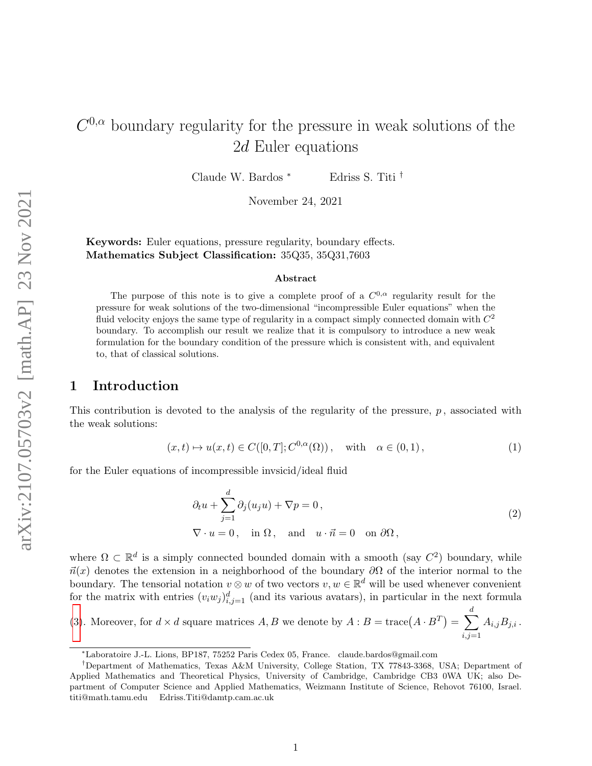# $C^{0,\alpha}$  boundary regularity for the pressure in weak solutions of the 2d Euler equations

Claude W. Bardos <sup>∗</sup> Edriss S. Titi †

November 24, 2021

Keywords: Euler equations, pressure regularity, boundary effects. Mathematics Subject Classification: 35Q35, 35Q31,7603

#### Abstract

The purpose of this note is to give a complete proof of a  $C^{0,\alpha}$  regularity result for the pressure for weak solutions of the two-dimensional "incompressible Euler equations" when the fluid velocity enjoys the same type of regularity in a compact simply connected domain with  $C^2$ boundary. To accomplish our result we realize that it is compulsory to introduce a new weak formulation for the boundary condition of the pressure which is consistent with, and equivalent to, that of classical solutions.

### 1 Introduction

This contribution is devoted to the analysis of the regularity of the pressure,  $p$ , associated with the weak solutions:

$$
(x,t) \mapsto u(x,t) \in C([0,T];C^{0,\alpha}(\Omega)), \quad \text{with} \quad \alpha \in (0,1), \tag{1}
$$

for the Euler equations of incompressible invsicid/ideal fluid

<span id="page-0-0"></span>
$$
\partial_t u + \sum_{j=1}^d \partial_j (u_j u) + \nabla p = 0,
$$
  
\n
$$
\nabla \cdot u = 0, \text{ in } \Omega, \text{ and } u \cdot \vec{n} = 0 \text{ on } \partial \Omega,
$$
\n(2)

where  $\Omega \subset \mathbb{R}^d$  is a simply connected bounded domain with a smooth (say  $C^2$ ) boundary, while  $\vec{n}(x)$  denotes the extension in a neighborhood of the boundary  $\partial\Omega$  of the interior normal to the boundary. The tensorial notation  $v \otimes w$  of two vectors  $v, w \in \mathbb{R}^d$  will be used whenever convenient for the matrix with entries  $(v_iw_j)_{i,j=1}^d$  (and its various avatars), in particular in the next formula

[\(3\)](#page-1-0). Moreover, for  $d \times d$  square matrices A, B we denote by  $A : B = \text{trace}(A \cdot B^T) = \sum$ d  $i,j=1$  $A_{i,j}B_{j,i}$  .

<sup>∗</sup>Laboratoire J.-L. Lions, BP187, 75252 Paris Cedex 05, France. claude.bardos@gmail.com

<sup>†</sup>Department of Mathematics, Texas A&M University, College Station, TX 77843-3368, USA; Department of Applied Mathematics and Theoretical Physics, University of Cambridge, Cambridge CB3 0WA UK; also Department of Computer Science and Applied Mathematics, Weizmann Institute of Science, Rehovot 76100, Israel. titi@math.tamu.edu Edriss.Titi@damtp.cam.ac.uk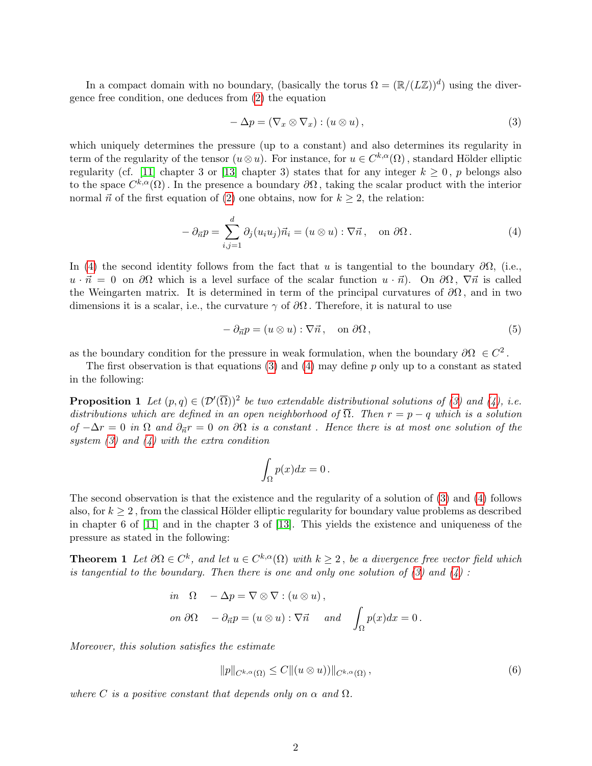In a compact domain with no boundary, (basically the torus  $\Omega = (\mathbb{R}/(L\mathbb{Z}))^d$ ) using the divergence free condition, one deduces from [\(2\)](#page-0-0) the equation

<span id="page-1-0"></span>
$$
-\Delta p = (\nabla_x \otimes \nabla_x) : (u \otimes u), \tag{3}
$$

which uniquely determines the pressure (up to a constant) and also determines its regularity in term of the regularity of the tensor  $(u \otimes u)$ . For instance, for  $u \in C^{k,\alpha}(\Omega)$ , standard Hölder elliptic regularity (cf. [\[11\]](#page-16-0) chapter 3 or [\[13\]](#page-16-1) chapter 3) states that for any integer  $k \geq 0$ , p belongs also to the space  $C^{k,\alpha}(\Omega)$ . In the presence a boundary  $\partial\Omega$ , taking the scalar product with the interior normal  $\vec{n}$  of the first equation of [\(2\)](#page-0-0) one obtains, now for  $k \geq 2$ , the relation:

<span id="page-1-1"></span>
$$
-\partial_{\vec{n}}p = \sum_{i,j=1}^d \partial_j (u_i u_j) \vec{n}_i = (u \otimes u) : \nabla \vec{n}, \text{ on } \partial \Omega.
$$
 (4)

In [\(4\)](#page-1-1) the second identity follows from the fact that u is tangential to the boundary  $\partial\Omega$ , (i.e.,  $u \cdot \vec{n} = 0$  on  $\partial\Omega$  which is a level surface of the scalar function  $u \cdot \vec{n}$ ). On  $\partial\Omega$ ,  $\nabla \vec{n}$  is called the Weingarten matrix. It is determined in term of the principal curvatures of  $\partial\Omega$ , and in two dimensions it is a scalar, i.e., the curvature  $\gamma$  of  $\partial\Omega$ . Therefore, it is natural to use

<span id="page-1-3"></span>
$$
-\partial_{\vec{n}}p = (u \otimes u) : \nabla \vec{n}, \quad \text{on } \partial\Omega,
$$
\n<sup>(5)</sup>

as the boundary condition for the pressure in weak formulation, when the boundary  $\partial\Omega \in C^2$ .

The first observation is that equations  $(3)$  and  $(4)$  may define p only up to a constant as stated in the following:

**Proposition 1** Let  $(p,q) \in (\mathcal{D}'(\overline{\Omega}))^2$  be two extendable distributional solutions of [\(3\)](#page-1-0) and [\(4\)](#page-1-1), i.e. distributions which are defined in an open neighborhood of  $\overline{\Omega}$ . Then  $r = p - q$  which is a solution of  $-\Delta r = 0$  in  $\Omega$  and  $\partial_{\vec{n}} r = 0$  on  $\partial \Omega$  is a constant. Hence there is at most one solution of the system  $(3)$  and  $(4)$  with the extra condition

<span id="page-1-2"></span>
$$
\int_{\Omega} p(x)dx = 0.
$$

The second observation is that the existence and the regularity of a solution of [\(3\)](#page-1-0) and [\(4\)](#page-1-1) follows also, for  $k \geq 2$ , from the classical Hölder elliptic regularity for boundary value problems as described in chapter 6 of [\[11\]](#page-16-0) and in the chapter 3 of [\[13\]](#page-16-1). This yields the existence and uniqueness of the pressure as stated in the following:

**Theorem 1** Let  $\partial\Omega \in C^k$ , and let  $u \in C^{k,\alpha}(\Omega)$  with  $k \geq 2$ , be a divergence free vector field which is tangential to the boundary. Then there is one and only one solution of  $(3)$  and  $(4)$ :

$$
\begin{aligned}\n\text{in} \quad &\Omega & -\Delta p = \nabla \otimes \nabla : (u \otimes u), \\
\text{on } \partial \Omega & -\partial_{\vec{n}} p = (u \otimes u) : \nabla \vec{n} \quad \text{and} \quad \int_{\Omega} p(x) dx = 0.\n\end{aligned}
$$

Moreover, this solution satisfies the estimate

$$
||p||_{C^{k,\alpha}(\Omega)} \le C ||(u \otimes u))||_{C^{k,\alpha}(\Omega)},
$$
\n(6)

where C is a positive constant that depends only on  $\alpha$  and  $\Omega$ .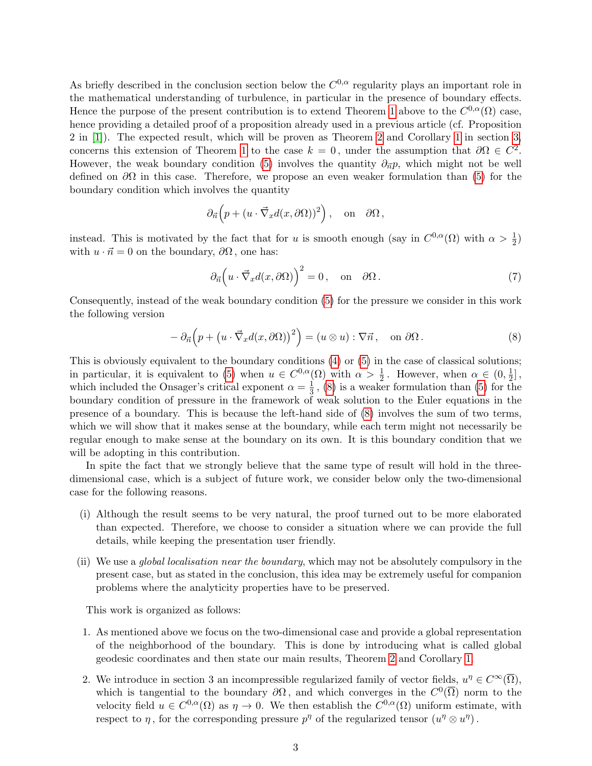As briefly described in the conclusion section below the  $C^{0,\alpha}$  regularity plays an important role in the mathematical understanding of turbulence, in particular in the presence of boundary effects. Hence the purpose of the present contribution is to extend Theorem [1](#page-1-2) above to the  $C^{0,\alpha}(\Omega)$  case, hence providing a detailed proof of a proposition already used in a previous article (cf. Proposition 2 in [\[1\]](#page-15-0)). The expected result, which will be proven as Theorem [2](#page-4-0) and Corollary [1](#page-5-0) in section [3,](#page-4-1) concerns this extension of Theorem [1](#page-1-2) to the case  $k = 0$ , under the assumption that  $\partial \Omega \in C^2$ . However, the weak boundary condition [\(5\)](#page-1-3) involves the quantity  $\partial_{\vec{n}}p$ , which might not be well defined on  $\partial\Omega$  in this case. Therefore, we propose an even weaker formulation than [\(5\)](#page-1-3) for the boundary condition which involves the quantity

$$
\partial_{\vec{n}}\left(p + (u \cdot \vec{\nabla}_x d(x, \partial \Omega))^2\right)
$$
, on  $\partial \Omega$ ,

instead. This is motivated by the fact that for u is smooth enough (say in  $C^{0,\alpha}(\Omega)$  with  $\alpha > \frac{1}{2}$ ) with  $u \cdot \vec{n} = 0$  on the boundary,  $\partial \Omega$ , one has:

<span id="page-2-1"></span>
$$
\partial_{\vec{n}} \Big( u \cdot \vec{\nabla}_x d(x, \partial \Omega) \Big)^2 = 0, \quad \text{on} \quad \partial \Omega. \tag{7}
$$

Consequently, instead of the weak boundary condition [\(5\)](#page-1-3) for the pressure we consider in this work the following version

<span id="page-2-0"></span>
$$
- \partial_{\vec{n}} \Big( p + \big( u \cdot \vec{\nabla}_x d(x, \partial \Omega) \big)^2 \Big) = \big( u \otimes u \big) : \nabla \vec{n}, \text{ on } \partial \Omega. \tag{8}
$$

This is obviously equivalent to the boundary conditions [\(4\)](#page-1-1) or [\(5\)](#page-1-3) in the case of classical solutions; in particular, it is equivalent to [\(5\)](#page-1-3) when  $u \in C^{0,\alpha}(\Omega)$  with  $\alpha > \frac{1}{2}$ . However, when  $\alpha \in (0, \frac{1}{2})$  $\frac{1}{2}]$ , which included the Onsager's critical exponent  $\alpha = \frac{1}{3}$  $\frac{1}{3}$ , [\(8\)](#page-2-0) is a weaker formulation than [\(5\)](#page-1-3) for the boundary condition of pressure in the framework of weak solution to the Euler equations in the presence of a boundary. This is because the left-hand side of [\(8\)](#page-2-0) involves the sum of two terms, which we will show that it makes sense at the boundary, while each term might not necessarily be regular enough to make sense at the boundary on its own. It is this boundary condition that we will be adopting in this contribution.

In spite the fact that we strongly believe that the same type of result will hold in the threedimensional case, which is a subject of future work, we consider below only the two-dimensional case for the following reasons.

- (i) Although the result seems to be very natural, the proof turned out to be more elaborated than expected. Therefore, we choose to consider a situation where we can provide the full details, while keeping the presentation user friendly.
- (ii) We use a *global localisation near the boundary*, which may not be absolutely compulsory in the present case, but as stated in the conclusion, this idea may be extremely useful for companion problems where the analyticity properties have to be preserved.

This work is organized as follows:

- 1. As mentioned above we focus on the two-dimensional case and provide a global representation of the neighborhood of the boundary. This is done by introducing what is called global geodesic coordinates and then state our main results, Theorem [2](#page-4-0) and Corollary [1.](#page-5-0)
- 2. We introduce in section 3 an incompressible regularized family of vector fields,  $u^{\eta} \in C^{\infty}(\overline{\Omega}),$ which is tangential to the boundary  $\partial\Omega$ , and which converges in the  $C^0(\overline{\Omega})$  norm to the velocity field  $u \in C^{0,\alpha}(\Omega)$  as  $\eta \to 0$ . We then establish the  $C^{0,\alpha}(\Omega)$  uniform estimate, with respect to  $\eta$ , for the corresponding pressure  $p^{\eta}$  of the regularized tensor  $(u^{\eta} \otimes u^{\eta})$ .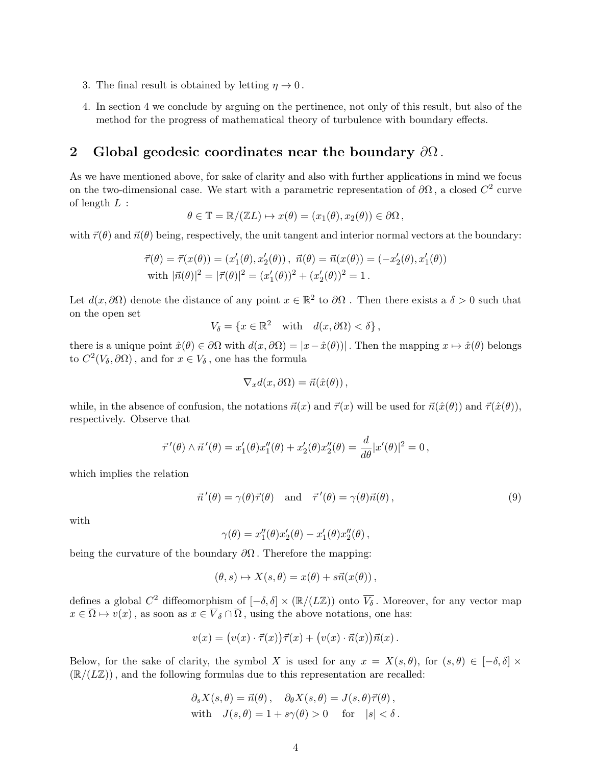- 3. The final result is obtained by letting  $\eta \to 0$ .
- 4. In section 4 we conclude by arguing on the pertinence, not only of this result, but also of the method for the progress of mathematical theory of turbulence with boundary effects.

# 2 Global geodesic coordinates near the boundary  $\partial\Omega$ .

As we have mentioned above, for sake of clarity and also with further applications in mind we focus on the two-dimensional case. We start with a parametric representation of  $\partial\Omega$ , a closed  $C^2$  curve of length  $L$  :

$$
\theta \in \mathbb{T} = \mathbb{R}/(\mathbb{Z}L) \mapsto x(\theta) = (x_1(\theta), x_2(\theta)) \in \partial \Omega,
$$

with  $\vec{\tau}(\theta)$  and  $\vec{n}(\theta)$  being, respectively, the unit tangent and interior normal vectors at the boundary:

$$
\vec{\tau}(\theta) = \vec{\tau}(x(\theta)) = (x'_1(\theta), x'_2(\theta)), \ \vec{n}(\theta) = \vec{n}(x(\theta)) = (-x'_2(\theta), x'_1(\theta))
$$
  
with  $|\vec{n}(\theta)|^2 = |\vec{\tau}(\theta)|^2 = (x'_1(\theta))^2 + (x'_2(\theta))^2 = 1$ .

Let  $d(x, \partial\Omega)$  denote the distance of any point  $x \in \mathbb{R}^2$  to  $\partial\Omega$ . Then there exists a  $\delta > 0$  such that on the open set

$$
V_{\delta} = \{ x \in \mathbb{R}^2 \quad \text{with} \quad d(x, \partial \Omega) < \delta \},
$$

there is a unique point  $\hat{x}(\theta) \in \partial \Omega$  with  $d(x, \partial \Omega) = |x - \hat{x}(\theta)|$ . Then the mapping  $x \mapsto \hat{x}(\theta)$  belongs to  $C^2(V_\delta, \partial\Omega)$ , and for  $x \in V_\delta$ , one has the formula

$$
\nabla_x d(x,\partial\Omega) = \vec{n}(\hat{x}(\theta)),
$$

while, in the absence of confusion, the notations  $\vec{n}(x)$  and  $\vec{\tau}(x)$  will be used for  $\vec{n}(\hat{x}(\theta))$  and  $\vec{\tau}(\hat{x}(\theta))$ , respectively. Observe that

$$
\vec{\tau}'(\theta) \wedge \vec{n}'(\theta) = x'_1(\theta)x''_1(\theta) + x'_2(\theta)x''_2(\theta) = \frac{d}{d\theta}|x'(\theta)|^2 = 0,
$$

which implies the relation

<span id="page-3-0"></span>
$$
\vec{n}'(\theta) = \gamma(\theta)\vec{\tau}(\theta) \quad \text{and} \quad \vec{\tau}'(\theta) = \gamma(\theta)\vec{n}(\theta), \tag{9}
$$

with

$$
\gamma(\theta) = x_1''(\theta)x_2'(\theta) - x_1'(\theta)x_2''(\theta),
$$

being the curvature of the boundary  $\partial\Omega$ . Therefore the mapping:

$$
(\theta, s) \mapsto X(s, \theta) = x(\theta) + s\vec{n}(x(\theta)),
$$

defines a global  $C^2$  diffeomorphism of  $[-\delta, \delta] \times (\mathbb{R}/(L\mathbb{Z}))$  onto  $\overline{V_{\delta}}$ . Moreover, for any vector map  $x \in \overline{\Omega} \mapsto v(x)$ , as soon as  $x \in \overline{V}_{\delta} \cap \overline{\Omega}$ , using the above notations, one has:

$$
v(x) = (v(x) \cdot \vec{\tau}(x))\vec{\tau}(x) + (v(x) \cdot \vec{n}(x))\vec{n}(x).
$$

Below, for the sake of clarity, the symbol X is used for any  $x = X(s, \theta)$ , for  $(s, \theta) \in [-\delta, \delta] \times$  $(\mathbb{R}/(L\mathbb{Z}))$ , and the following formulas due to this representation are recalled:

$$
\partial_s X(s, \theta) = \vec{n}(\theta), \quad \partial_\theta X(s, \theta) = J(s, \theta) \vec{\tau}(\theta),
$$
  
with  $J(s, \theta) = 1 + s\gamma(\theta) > 0$  for  $|s| < \delta$ .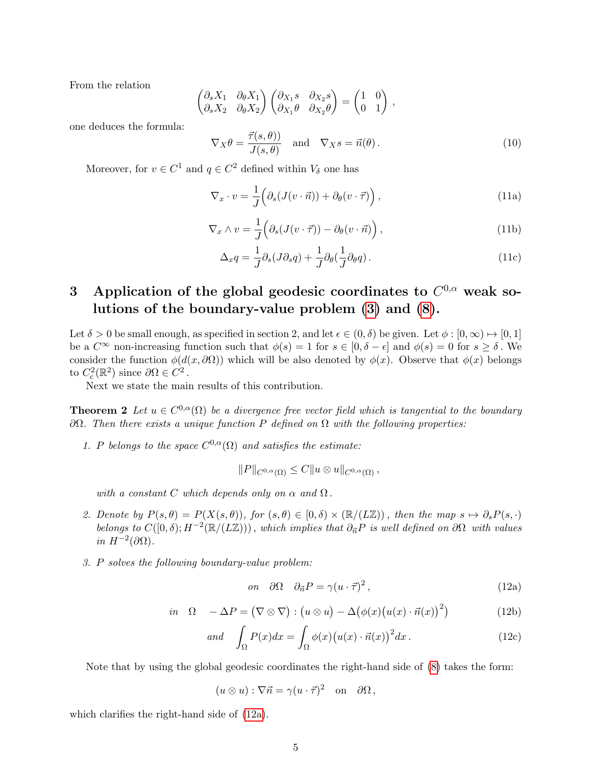From the relation

$$
\begin{pmatrix}\n\partial_s X_1 & \partial_\theta X_1 \\
\partial_s X_2 & \partial_\theta X_2\n\end{pmatrix}\n\begin{pmatrix}\n\partial_{X_1}s & \partial_{X_2}s \\
\partial_{X_1}\theta & \partial_{X_2}\theta\n\end{pmatrix} = \begin{pmatrix}\n1 & 0 \\
0 & 1\n\end{pmatrix},
$$

one deduces the formula:

<span id="page-4-4"></span>
$$
\nabla_X \theta = \frac{\vec{\tau}(s, \theta)}{J(s, \theta)} \quad \text{and} \quad \nabla_X s = \vec{n}(\theta). \tag{10}
$$

Moreover, for  $v \in C^1$  and  $q \in C^2$  defined within  $V_\delta$  one has

<span id="page-4-3"></span>
$$
\nabla_x \cdot v = \frac{1}{J} \left( \partial_s (J(v \cdot \vec{n})) + \partial_\theta (v \cdot \vec{\tau}) \right), \tag{11a}
$$

$$
\nabla_x \wedge v = \frac{1}{J} \Big( \partial_s (J(v \cdot \vec{\tau})) - \partial_\theta (v \cdot \vec{n}) \Big) , \qquad (11b)
$$

<span id="page-4-5"></span>
$$
\Delta_x q = \frac{1}{J} \partial_s (J \partial_s q) + \frac{1}{J} \partial_\theta (\frac{1}{J} \partial_\theta q). \tag{11c}
$$

# <span id="page-4-1"></span>3 Application of the global geodesic coordinates to  $C^{0,\alpha}$  weak solutions of the boundary-value problem [\(3\)](#page-1-0) and [\(8\)](#page-2-0).

Let  $\delta > 0$  be small enough, as specified in section 2, and let  $\epsilon \in (0, \delta)$  be given. Let  $\phi : [0, \infty) \mapsto [0, 1]$ be a  $C^{\infty}$  non-increasing function such that  $\phi(s) = 1$  for  $s \in [0, \delta - \epsilon]$  and  $\phi(s) = 0$  for  $s \ge \delta$ . We consider the function  $\phi(d(x, \partial \Omega))$  which will be also denoted by  $\phi(x)$ . Observe that  $\phi(x)$  belongs to  $C_c^2(\mathbb{R}^2)$  since  $\partial\Omega \in C^2$ .

Next we state the main results of this contribution.

<span id="page-4-0"></span>**Theorem 2** Let  $u \in C^{0,\alpha}(\Omega)$  be a divergence free vector field which is tangential to the boundary  $\partial Ω$ . Then there exists a unique function P defined on  $Ω$  with the following properties:

1. P belongs to the space  $C^{0,\alpha}(\Omega)$  and satisfies the estimate:

 $||P||_{C^{0,\alpha}(\Omega)} \leq C||u \otimes u||_{C^{0,\alpha}(\Omega)},$ 

with a constant C which depends only on  $\alpha$  and  $\Omega$ .

- 2. Denote by  $P(s,\theta) = P(X(s,\theta))$ , for  $(s,\theta) \in [0,\delta) \times (\mathbb{R}/(L\mathbb{Z}))$ , then the map  $s \mapsto \partial_s P(s,\cdot)$ belongs to  $C([0,\delta);H^{-2}(\mathbb{R}/(L\mathbb{Z})))$ , which implies that  $\partial_{\vec{n}}P$  is well defined on  $\partial\Omega$  with values in  $H^{-2}(\partial\Omega)$ .
- 3. P solves the following boundary-value problem:

<span id="page-4-2"></span>
$$
on \quad \partial \Omega \quad \partial_{\vec{n}} P = \gamma (u \cdot \vec{\tau})^2 \,, \tag{12a}
$$

$$
in \ \Omega - \Delta P = (\nabla \otimes \nabla) : (u \otimes u) - \Delta (\phi(x) (u(x) \cdot \vec{n}(x))^2)
$$
 (12b)

$$
and \quad \int_{\Omega} P(x)dx = \int_{\Omega} \phi(x) (u(x) \cdot \vec{n}(x))^2 dx.
$$
 (12c)

Note that by using the global geodesic coordinates the right-hand side of [\(8\)](#page-2-0) takes the form:

$$
(u \otimes u) : \nabla \vec{n} = \gamma (u \cdot \vec{\tau})^2
$$
 on  $\partial \Omega$ ,

which clarifies the right-hand side of [\(12a\)](#page-4-2).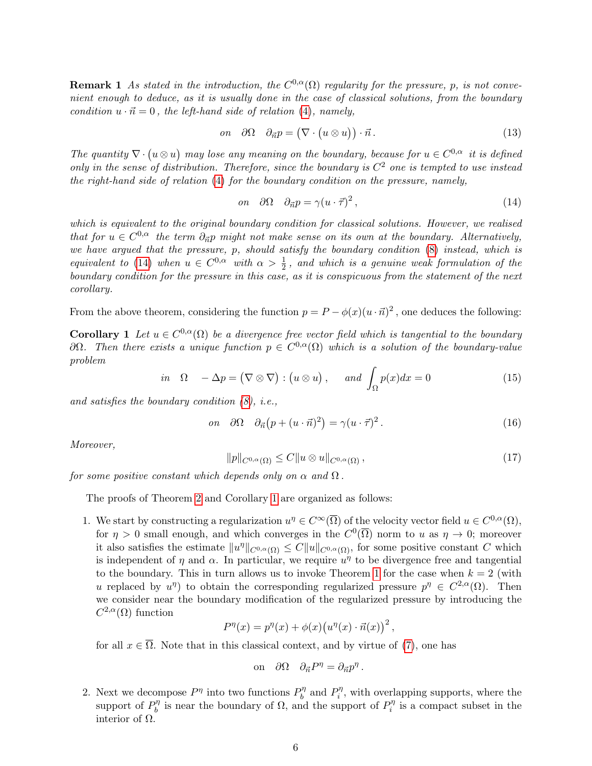**Remark 1** As stated in the introduction, the  $C^{0,\alpha}(\Omega)$  regularity for the pressure, p, is not convenient enough to deduce, as it is usually done in the case of classical solutions, from the boundary condition  $u \cdot \vec{n} = 0$ , the left-hand side of relation [\(4\)](#page-1-1), namely,

$$
on \quad \partial\Omega \quad \partial_{\vec{n}}p = (\nabla \cdot (u \otimes u)) \cdot \vec{n} \,. \tag{13}
$$

The quantity  $\nabla \cdot (u \otimes u)$  may lose any meaning on the boundary, because for  $u \in C^{0,\alpha}$  it is defined only in the sense of distribution. Therefore, since the boundary is  $C<sup>2</sup>$  one is tempted to use instead the right-hand side of relation [\(4\)](#page-1-1) for the boundary condition on the pressure, namely,

<span id="page-5-1"></span>
$$
on \quad \partial\Omega \quad \partial_{\vec{n}}p = \gamma (u \cdot \vec{\tau})^2 \,, \tag{14}
$$

which is equivalent to the original boundary condition for classical solutions. However, we realised that for  $u \in C^{0,\alpha}$  the term  $\partial_{\vec{n}}p$  might not make sense on its own at the boundary. Alternatively, we have argued that the pressure, p, should satisfy the boundary condition [\(8\)](#page-2-0) instead, which is equivalent to [\(14\)](#page-5-1) when  $u \in C^{0,\alpha}$  with  $\alpha > \frac{1}{2}$ , and which is a genuine weak formulation of the boundary condition for the pressure in this case, as it is conspicuous from the statement of the next corollary.

From the above theorem, considering the function  $p = P - \phi(x)(u \cdot \vec{n})^2$ , one deduces the following:

<span id="page-5-0"></span>**Corollary** 1 Let  $u \in C^{0,\alpha}(\Omega)$  be a divergence free vector field which is tangential to the boundary  $\partial Ω$ . Then there exists a unique function  $p ∈ C<sup>0,α</sup>(Ω)$  which is a solution of the boundary-value problem

$$
in \ \Omega \ -\Delta p = (\nabla \otimes \nabla) : (u \otimes u), \quad and \int_{\Omega} p(x) dx = 0 \tag{15}
$$

and satisfies the boundary condition  $(8)$ , *i.e.*,

$$
on \quad \partial\Omega \quad \partial_{\vec{n}}(p + (u \cdot \vec{n})^2) = \gamma (u \cdot \vec{\tau})^2. \tag{16}
$$

.

Moreover,

$$
||p||_{C^{0,\alpha}(\Omega)} \le C||u \otimes u||_{C^{0,\alpha}(\Omega)}, \qquad (17)
$$

for some positive constant which depends only on  $\alpha$  and  $\Omega$ .

The proofs of Theorem [2](#page-4-0) and Corollary [1](#page-5-0) are organized as follows:

1. We start by constructing a regularization  $u^{\eta} \in C^{\infty}(\overline{\Omega})$  of the velocity vector field  $u \in C^{0,\alpha}(\Omega)$ , for  $\eta > 0$  small enough, and which converges in the  $C^0(\overline{\Omega})$  norm to u as  $\eta \to 0$ ; moreover it also satisfies the estimate  $||u^{\eta}||_{C^{0,\alpha}(\Omega)} \leq C||u||_{C^{0,\alpha}(\Omega)}$ , for some positive constant C which is independent of  $\eta$  and  $\alpha$ . In particular, we require  $u^{\eta}$  to be divergence free and tangential to the boundary. This in turn allows us to invoke Theorem [1](#page-1-2) for the case when  $k = 2$  (with u replaced by  $u^{\eta}$  to obtain the corresponding regularized pressure  $p^{\eta} \in C^{2,\alpha}(\Omega)$ . Then we consider near the boundary modification of the regularized pressure by introducing the  $C^{2,\alpha}(\Omega)$  function

$$
P^{\eta}(x) = p^{\eta}(x) + \phi(x) (u^{\eta}(x) \cdot \vec{n}(x))^{2},
$$

for all  $x \in \overline{\Omega}$ . Note that in this classical context, and by virtue of [\(7\)](#page-2-1), one has

on 
$$
\partial \Omega
$$
  $\partial_{\vec{n}} P^{\eta} = \partial_{\vec{n}} p^{\eta}$ 

2. Next we decompose  $P^{\eta}$  into two functions  $P_h^{\eta}$  $P_i^{\eta}$  and  $P_i^{\eta}$  $i^n$ , with overlapping supports, where the support of  $P_h^{\eta}$  $b_0^{\eta}$  is near the boundary of  $\Omega$ , and the support of  $P_i^{\eta}$  $i^n$  is a compact subset in the interior of  $Ω$ .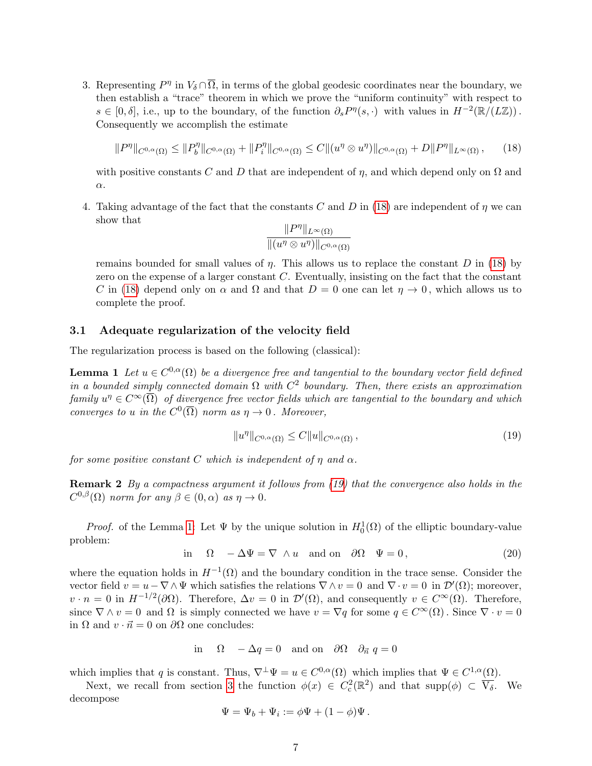3. Representing  $P^{\eta}$  in  $V_{\delta} \cap \overline{\Omega}$ , in terms of the global geodesic coordinates near the boundary, we then establish a "trace" theorem in which we prove the "uniform continuity" with respect to  $s \in [0, \delta],$  i.e., up to the boundary, of the function  $\partial_s P^{\eta}(s, \cdot)$  with values in  $H^{-2}(\mathbb{R}/(L\mathbb{Z}))$ . Consequently we accomplish the estimate

<span id="page-6-0"></span>
$$
||P^{\eta}||_{C^{0,\alpha}(\Omega)} \leq ||P^{\eta}_{b}||_{C^{0,\alpha}(\Omega)} + ||P^{\eta}_{i}||_{C^{0,\alpha}(\Omega)} \leq C||(u^{\eta} \otimes u^{\eta})||_{C^{0,\alpha}(\Omega)} + D||P^{\eta}||_{L^{\infty}(\Omega)}, \qquad (18)
$$

with positive constants C and D that are independent of  $\eta$ , and which depend only on  $\Omega$  and  $\alpha$ .

4. Taking advantage of the fact that the constants C and D in [\(18\)](#page-6-0) are independent of  $\eta$  we can show that

<span id="page-6-2"></span>
$$
\frac{\|P^{\eta}\|_{L^{\infty}(\Omega)}}{\|(u^{\eta}\otimes u^{\eta})\|_{C^{0,\alpha}(\Omega)}}
$$

remains bounded for small values of  $\eta$ . This allows us to replace the constant D in [\(18\)](#page-6-0) by zero on the expense of a larger constant  $C$ . Eventually, insisting on the fact that the constant C in [\(18\)](#page-6-0) depend only on  $\alpha$  and  $\Omega$  and that  $D=0$  one can let  $\eta \to 0$ , which allows us to complete the proof.

#### <span id="page-6-3"></span>3.1 Adequate regularization of the velocity field

The regularization process is based on the following (classical):

**Lemma 1** Let  $u \in C^{0,\alpha}(\Omega)$  be a divergence free and tangential to the boundary vector field defined in a bounded simply connected domain  $\Omega$  with  $C^2$  boundary. Then, there exists an approximation family  $u^{\eta} \in C^{\infty}(\overline{\Omega})$  of divergence free vector fields which are tangential to the boundary and which converges to u in the  $C^0(\overline{\Omega})$  norm as  $\eta \to 0$ . Moreover,

<span id="page-6-1"></span>
$$
||u^{\eta}||_{C^{0,\alpha}(\Omega)} \leq C||u||_{C^{0,\alpha}(\Omega)},
$$
\n(19)

for some positive constant C which is independent of  $\eta$  and  $\alpha$ .

Remark 2 By a compactness argument it follows from [\(19\)](#page-6-1) that the convergence also holds in the  $C^{0,\beta}(\Omega)$  norm for any  $\beta \in (0,\alpha)$  as  $\eta \to 0$ .

*Proof.* of the Lemma [1:](#page-6-2) Let  $\Psi$  by the unique solution in  $H_0^1(\Omega)$  of the elliptic boundary-value problem:

$$
\text{in} \quad \Omega \quad -\Delta \Psi = \nabla \wedge u \quad \text{and on} \quad \partial \Omega \quad \Psi = 0, \tag{20}
$$

where the equation holds in  $H^{-1}(\Omega)$  and the boundary condition in the trace sense. Consider the vector field  $v = u - \nabla \wedge \Psi$  which satisfies the relations  $\nabla \wedge v = 0$  and  $\nabla \cdot v = 0$  in  $\mathcal{D}'(\Omega)$ ; moreover,  $v \cdot n = 0$  in  $H^{-1/2}(\partial \Omega)$ . Therefore,  $\Delta v = 0$  in  $\mathcal{D}'(\Omega)$ , and consequently  $v \in C^{\infty}(\Omega)$ . Therefore, since  $\nabla \wedge v = 0$  and  $\Omega$  is simply connected we have  $v = \nabla q$  for some  $q \in C^{\infty}(\Omega)$ . Since  $\nabla \cdot v = 0$ in  $\Omega$  and  $v \cdot \vec{n} = 0$  on  $\partial\Omega$  one concludes:

in 
$$
\Omega
$$
 -  $\Delta q = 0$  and on  $\partial \Omega$   $\partial_{\vec{n}} q = 0$ 

which implies that q is constant. Thus,  $\nabla^{\perp} \Psi = u \in C^{0,\alpha}(\Omega)$  which implies that  $\Psi \in C^{1,\alpha}(\Omega)$ .

Next, we recall from section [3](#page-4-1) the function  $\phi(x) \in C_c^2(\mathbb{R}^2)$  and that  $\text{supp}(\phi) \subset \overline{V_{\delta}}$ . We decompose

$$
\Psi = \Psi_b + \Psi_i := \phi \Psi + (1 - \phi) \Psi.
$$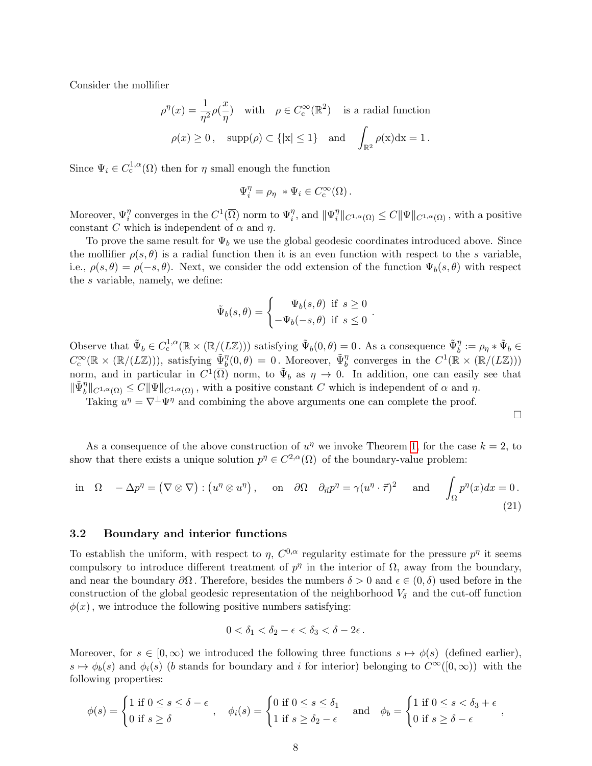Consider the mollifier

$$
\rho^{\eta}(x) = \frac{1}{\eta^2} \rho(\frac{x}{\eta}) \quad \text{with} \quad \rho \in C_c^{\infty}(\mathbb{R}^2) \quad \text{is a radial function}
$$

$$
\rho(x) \ge 0 \,, \quad \text{supp}(\rho) \subset \{ |x| \le 1 \} \quad \text{and} \quad \int_{\mathbb{R}^2} \rho(x) dx = 1 \,.
$$

Since  $\Psi_i \in C_c^{1,\alpha}(\Omega)$  then for  $\eta$  small enough the function

$$
\Psi_i^{\eta} = \rho_{\eta} * \Psi_i \in C_c^{\infty}(\Omega).
$$

Moreover,  $\Psi_i^{\eta}$  converges in the  $C^1(\overline{\Omega})$  norm to  $\Psi_i^{\eta}$ , and  $\|\Psi_i^{\eta}\|$  $\|u^n_i\|_{C^{1,\alpha}(\Omega)} \leq C \|\Psi\|_{C^{1,\alpha}(\Omega)}$  , with a positive constant C which is independent of  $\alpha$  and  $\eta$ .

To prove the same result for  $\Psi_b$  we use the global geodesic coordinates introduced above. Since the mollifier  $\rho(s, \theta)$  is a radial function then it is an even function with respect to the s variable, i.e.,  $\rho(s,\theta) = \rho(-s,\theta)$ . Next, we consider the odd extension of the function  $\Psi_b(s,\theta)$  with respect the s variable, namely, we define:

$$
\tilde{\Psi}_b(s,\theta) = \begin{cases} \Psi_b(s,\theta) & \text{if } s \ge 0 \\ -\Psi_b(-s,\theta) & \text{if } s \le 0 \end{cases}.
$$

Observe that  $\tilde{\Psi}_b \in C^{1,\alpha}_c(\mathbb{R} \times (\mathbb{R}/(L\mathbb{Z})))$  satisfying  $\tilde{\Psi}_b(0,\theta) = 0$ . As a consequence  $\tilde{\Psi}_b^{\eta} := \rho_{\eta} * \tilde{\Psi}_b \in$  $C_c^{\infty}(\mathbb{R} \times (\mathbb{R}/(L\mathbb{Z}))),$  satisfying  $\tilde{\Psi}_b^{\eta}(0,\theta) = 0$ . Moreover,  $\tilde{\Psi}_b^{\eta}$  converges in the  $C^1(\mathbb{R} \times (\mathbb{R}/(L\mathbb{Z})))$ norm, and in particular in  $C^1(\overline{\Omega})$  norm, to  $\tilde{\Psi}_b$  as  $\eta \to 0$ . In addition, one can easily see that  $\|\tilde{\Psi}_{b}^{\eta}\|_{C^{1,\alpha}(\Omega)} \leq C \|\Psi\|_{C^{1,\alpha}(\Omega)}$ , with a positive constant C which is independent of  $\alpha$  and  $\eta$ .

Taking  $u^{\eta} = \nabla^{\perp} \Psi^{\eta}$  and combining the above arguments one can complete the proof.

$$
\Box
$$

As a consequence of the above construction of  $u^{\eta}$  we invoke Theorem [1,](#page-1-2) for the case  $k = 2$ , to show that there exists a unique solution  $p^{\eta} \in C^{2,\alpha}(\Omega)$  of the boundary-value problem:

<span id="page-7-0"></span>in 
$$
\Omega
$$
 -  $\Delta p^{\eta} = (\nabla \otimes \nabla) : (u^{\eta} \otimes u^{\eta}),$  on  $\partial \Omega$   $\partial_{\vec{n}} p^{\eta} = \gamma (u^{\eta} \cdot \vec{\tau})^2$  and  $\int_{\Omega} p^{\eta}(x) dx = 0.$  (21)

#### 3.2 Boundary and interior functions

To establish the uniform, with respect to  $\eta$ ,  $C^{0,\alpha}$  regularity estimate for the pressure  $p^{\eta}$  it seems compulsory to introduce different treatment of  $p^{\eta}$  in the interior of  $\Omega$ , away from the boundary, and near the boundary  $\partial\Omega$ . Therefore, besides the numbers  $\delta > 0$  and  $\epsilon \in (0, \delta)$  used before in the construction of the global geodesic representation of the neighborhood  $V_{\delta}$  and the cut-off function  $\phi(x)$ , we introduce the following positive numbers satisfying:

$$
0<\delta_1<\delta_2-\epsilon<\delta_3<\delta-2\epsilon.
$$

Moreover, for  $s \in [0,\infty)$  we introduced the following three functions  $s \mapsto \phi(s)$  (defined earlier),  $s \mapsto \phi_b(s)$  and  $\phi_i(s)$  (b stands for boundary and i for interior) belonging to  $C^{\infty}([0,\infty))$  with the following properties:

$$
\phi(s) = \begin{cases} 1 \text{ if } 0 \le s \le \delta - \epsilon \\ 0 \text{ if } s \ge \delta \end{cases}, \quad \phi_i(s) = \begin{cases} 0 \text{ if } 0 \le s \le \delta_1 \\ 1 \text{ if } s \ge \delta_2 - \epsilon \end{cases} \quad \text{and} \quad \phi_b = \begin{cases} 1 \text{ if } 0 \le s < \delta_3 + \epsilon \\ 0 \text{ if } s \ge \delta - \epsilon \end{cases}
$$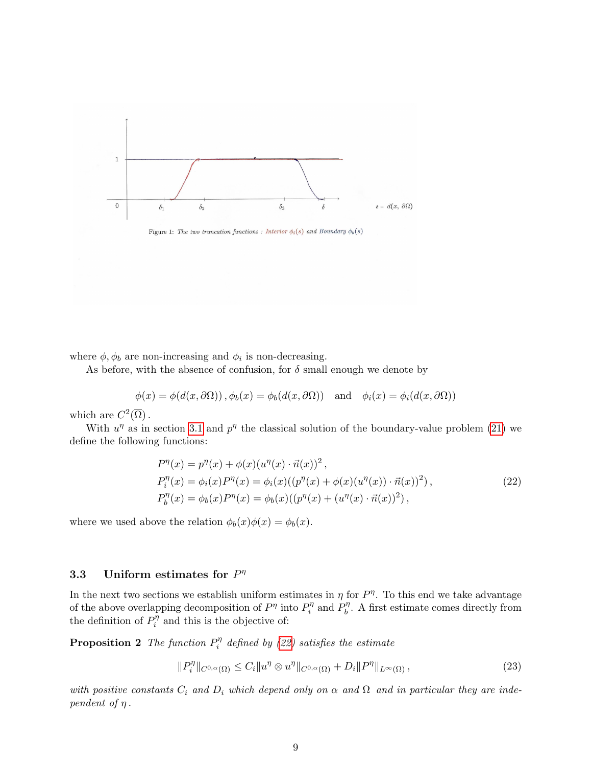

Figure 1: The two truncation functions : Interior  $\phi_i(s)$  and Boundary  $\phi_b(s)$ 

where  $\phi, \phi_b$  are non-increasing and  $\phi_i$  is non-decreasing.

As before, with the absence of confusion, for  $\delta$  small enough we denote by

$$
\phi(x) = \phi(d(x, \partial \Omega)), \phi_b(x) = \phi_b(d(x, \partial \Omega)) \text{ and } \phi_i(x) = \phi_i(d(x, \partial \Omega))
$$

which are  $C^2(\overline{\Omega})$ .

With  $u^{\eta}$  as in section [3.1](#page-6-3) and  $p^{\eta}$  the classical solution of the boundary-value problem [\(21\)](#page-7-0) we define the following functions:

<span id="page-8-0"></span>
$$
P^{\eta}(x) = p^{\eta}(x) + \phi(x)(u^{\eta}(x) \cdot \vec{n}(x))^{2},
$$
  
\n
$$
P_i^{\eta}(x) = \phi_i(x)P^{\eta}(x) = \phi_i(x)((p^{\eta}(x) + \phi(x)(u^{\eta}(x)) \cdot \vec{n}(x))^{2}),
$$
  
\n
$$
P_b^{\eta}(x) = \phi_b(x)P^{\eta}(x) = \phi_b(x)((p^{\eta}(x) + (u^{\eta}(x) \cdot \vec{n}(x))^{2}),
$$
\n(22)

where we used above the relation  $\phi_b(x)\phi(x) = \phi_b(x)$ .

# 3.3 Uniform estimates for  $P^{\eta}$

In the next two sections we establish uniform estimates in  $\eta$  for  $P^{\eta}$ . To this end we take advantage of the above overlapping decomposition of  $P^{\eta}$  into  $P_i^{\eta}$  $P_i^{\eta}$  and  $P_b^{\eta}$  $b^{\eta}$ . A first estimate comes directly from the definition of  $P_i^{\eta}$  $i^n$  and this is the objective of:

**Proposition 2** The function  $P_i^n$  $\hat{e}_i^{\eta}$  defined by [\(22\)](#page-8-0) satisfies the estimate

<span id="page-8-2"></span><span id="page-8-1"></span>
$$
||P_i^{\eta}||_{C^{0,\alpha}(\Omega)} \le C_i ||u^{\eta} \otimes u^{\eta}||_{C^{0,\alpha}(\Omega)} + D_i ||P^{\eta}||_{L^{\infty}(\Omega)},
$$
\n(23)

with positive constants  $C_i$  and  $D_i$  which depend only on  $\alpha$  and  $\Omega$  and in particular they are independent of  $\eta$ .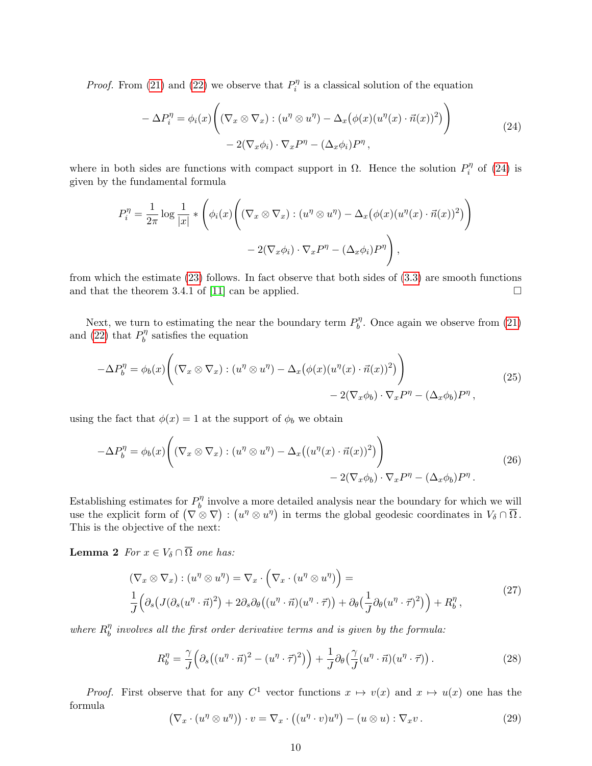*Proof.* From [\(21\)](#page-7-0) and [\(22\)](#page-8-0) we observe that  $P_i^n$  $i^n$  is a classical solution of the equation

<span id="page-9-0"></span>
$$
-\Delta P_i^{\eta} = \phi_i(x) \Bigg( (\nabla_x \otimes \nabla_x) : (u^{\eta} \otimes u^{\eta}) - \Delta_x (\phi(x) (u^{\eta}(x) \cdot \vec{n}(x))^2) \Bigg) - 2(\nabla_x \phi_i) \cdot \nabla_x P^{\eta} - (\Delta_x \phi_i) P^{\eta} , \tag{24}
$$

where in both sides are functions with compact support in  $\Omega$ . Hence the solution  $P_i^n$  $p_i^{\eta}$  of [\(24\)](#page-9-0) is given by the fundamental formula

$$
P_i^{\eta} = \frac{1}{2\pi} \log \frac{1}{|x|} * \left( \phi_i(x) \left( (\nabla_x \otimes \nabla_x) : (u^{\eta} \otimes u^{\eta}) - \Delta_x (\phi(x) (u^{\eta}(x) \cdot \vec{n}(x))^2) \right) - 2(\nabla_x \phi_i) \cdot \nabla_x P^{\eta} - (\Delta_x \phi_i) P^{\eta} \right),
$$

from which the estimate [\(23\)](#page-8-1) follows. In fact observe that both sides of [\(3.3\)](#page-9-0) are smooth functions and that the theorem 3.4.1 of [\[11\]](#page-16-0) can be applied.  $\square$ 

Next, we turn to estimating the near the boundary term  $P_h^{\eta}$  $b^{\eta}$ . Once again we observe from [\(21\)](#page-7-0) and [\(22\)](#page-8-0) that  $P_h^{\eta}$  $b^{\eta}$  satisfies the equation

$$
-\Delta P_b^{\eta} = \phi_b(x) \Big( (\nabla_x \otimes \nabla_x) : (u^{\eta} \otimes u^{\eta}) - \Delta_x (\phi(x) (u^{\eta}(x) \cdot \vec{n}(x))^2) \Big) - 2(\nabla_x \phi_b) \cdot \nabla_x P^{\eta} - (\Delta_x \phi_b) P^{\eta}, \tag{25}
$$

using the fact that  $\phi(x) = 1$  at the support of  $\phi_b$  we obtain

<span id="page-9-1"></span>
$$
-\Delta P_b^{\eta} = \phi_b(x) \Big( (\nabla_x \otimes \nabla_x) : (u^{\eta} \otimes u^{\eta}) - \Delta_x \big( (u^{\eta}(x) \cdot \vec{n}(x))^2 \big) \Big) - 2(\nabla_x \phi_b) \cdot \nabla_x P^{\eta} - (\Delta_x \phi_b) P^{\eta} . \tag{26}
$$

Establishing estimates for  $P_h^{\eta}$  $b<sub>b</sub>$ <sup>n</sup> involve a more detailed analysis near the boundary for which we will use the explicit form of  $(\nabla \otimes \nabla) : (u^{\eta} \otimes u^{\eta})$  in terms the global geodesic coordinates in  $V_{\delta} \cap \overline{\Omega}$ . This is the objective of the next:

**Lemma 2** For  $x \in V_\delta \cap \overline{\Omega}$  one has:

$$
(\nabla_x \otimes \nabla_x) : (u^{\eta} \otimes u^{\eta}) = \nabla_x \cdot (\nabla_x \cdot (u^{\eta} \otimes u^{\eta})) =
$$
  
\n
$$
\frac{1}{J} (\partial_s (J(\partial_s (u^{\eta} \cdot \vec{n})^2) + 2 \partial_s \partial_{\theta} ((u^{\eta} \cdot \vec{n}) (u^{\eta} \cdot \vec{r})) + \partial_{\theta} (\frac{1}{J} \partial_{\theta} (u^{\eta} \cdot \vec{r})^2) + R_b^{\eta},
$$
\n(27)

where  $R_h^{\eta}$  $\frac{\eta}{b}$  involves all the first order derivative terms and is given by the formula:

<span id="page-9-2"></span>
$$
R_b^{\eta} = \frac{\gamma}{J} \Big( \partial_s \big( (u^{\eta} \cdot \vec{n})^2 - (u^{\eta} \cdot \vec{\tau})^2 \big) \Big) + \frac{1}{J} \partial_{\theta} \big( \frac{\gamma}{J} (u^{\eta} \cdot \vec{n}) (u^{\eta} \cdot \vec{\tau}) \big) \,. \tag{28}
$$

*Proof.* First observe that for any  $C^1$  vector functions  $x \mapsto v(x)$  and  $x \mapsto u(x)$  one has the formula

$$
(\nabla_x \cdot (u^{\eta} \otimes u^{\eta})) \cdot v = \nabla_x \cdot ((u^{\eta} \cdot v)u^{\eta}) - (u \otimes u) : \nabla_x v. \tag{29}
$$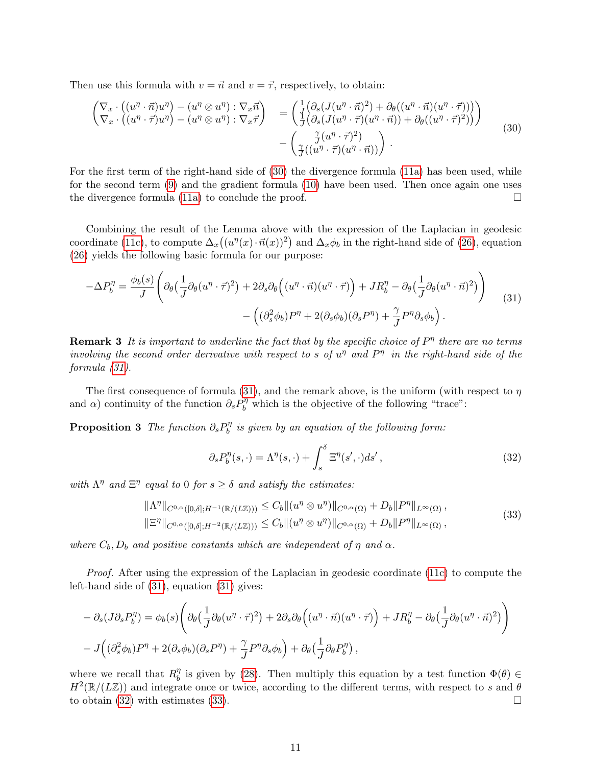Then use this formula with  $v = \vec{n}$  and  $v = \vec{\tau}$ , respectively, to obtain:

<span id="page-10-0"></span>
$$
\begin{pmatrix}\n\nabla_x \cdot \left( (u^{\eta} \cdot \vec{n}) u^{\eta} \right) - (u^{\eta} \otimes u^{\eta}) : \nabla_x \vec{n} \\
\nabla_x \cdot \left( (u^{\eta} \cdot \vec{\tau}) u^{\eta} \right) - (u^{\eta} \otimes u^{\eta}) : \nabla_x \vec{\tau} \n\end{pmatrix} = \begin{pmatrix}\n\frac{1}{f} \left( \partial_s (J(u^{\eta} \cdot \vec{n})^2) + \partial_\theta ((u^{\eta} \cdot \vec{n}) (u^{\eta} \cdot \vec{\tau})) \right) \\
\frac{1}{J} \left( \partial_s (J(u^{\eta} \cdot \vec{\tau}) (u^{\eta} \cdot \vec{n})) + \partial_\theta ((u^{\eta} \cdot \vec{\tau})^2) \right)\n\end{pmatrix} \\
- \begin{pmatrix}\n\frac{\gamma}{f} (u^{\eta} \cdot \vec{\tau})^2 \\
\frac{\gamma}{f} ((u^{\eta} \cdot \vec{\tau}) (u^{\eta} \cdot \vec{n}))\n\end{pmatrix}.
$$
\n(30)

For the first term of the right-hand side of [\(30\)](#page-10-0) the divergence formula [\(11a\)](#page-4-3) has been used, while for the second term [\(9\)](#page-3-0) and the gradient formula [\(10\)](#page-4-4) have been used. Then once again one uses the divergence formula [\(11a\)](#page-4-3) to conclude the proof.  $\Box$ 

Combining the result of the Lemma above with the expression of the Laplacian in geodesic coordinate [\(11c\)](#page-4-5), to compute  $\Delta_x((u^{\eta}(x)\cdot\vec{n}(x))^2)$  and  $\Delta_x\phi_b$  in the right-hand side of [\(26\)](#page-9-1), equation [\(26\)](#page-9-1) yields the following basic formula for our purpose:

<span id="page-10-1"></span>
$$
-\Delta P_b^{\eta} = \frac{\phi_b(s)}{J} \left( \partial_{\theta} \left( \frac{1}{J} \partial_{\theta} (u^{\eta} \cdot \vec{\tau})^2 \right) + 2 \partial_s \partial_{\theta} \left( (u^{\eta} \cdot \vec{n}) (u^{\eta} \cdot \vec{\tau}) \right) + J R_b^{\eta} - \partial_{\theta} \left( \frac{1}{J} \partial_{\theta} (u^{\eta} \cdot \vec{n})^2 \right) \right) \tag{31}
$$

$$
- \left( (\partial_s^2 \phi_b) P^{\eta} + 2 (\partial_s \phi_b) (\partial_s P^{\eta}) + \frac{\gamma}{J} P^{\eta} \partial_s \phi_b \right).
$$

**Remark 3** It is important to underline the fact that by the specific choice of  $P<sup>\eta</sup>$  there are no terms involving the second order derivative with respect to s of  $u^{\eta}$  and  $P^{\eta}$  in the right-hand side of the formula [\(31\)](#page-10-1).

The first consequence of formula [\(31\)](#page-10-1), and the remark above, is the uniform (with respect to  $\eta$ and  $\alpha$ ) continuity of the function  $\partial_s P_b^{\eta}$  which is the objective of the following "trace":

<span id="page-10-4"></span>**Proposition 3** The function  $\partial_s P_b^{\eta}$  $\delta^{ \eta }_b$  is given by an equation of the following form:

<span id="page-10-2"></span>
$$
\partial_s P_b^{\eta}(s, \cdot) = \Lambda^{\eta}(s, \cdot) + \int_s^{\delta} \Xi^{\eta}(s', \cdot) ds', \qquad (32)
$$

with  $\Lambda^{\eta}$  and  $\Xi^{\eta}$  equal to 0 for  $s \geq \delta$  and satisfy the estimates:

<span id="page-10-3"></span>
$$
\|\Lambda^{\eta}\|_{C^{0,\alpha}([0,\delta];H^{-1}(\mathbb{R}/(L\mathbb{Z})))} \leq C_b \|(u^{\eta} \otimes u^{\eta})\|_{C^{0,\alpha}(\Omega)} + D_b \|P^{\eta}\|_{L^{\infty}(\Omega)},
$$
  

$$
\|\Xi^{\eta}\|_{C^{0,\alpha}([0,\delta];H^{-2}(\mathbb{R}/(L\mathbb{Z})))} \leq C_b \|(u^{\eta} \otimes u^{\eta})\|_{C^{0,\alpha}(\Omega)} + D_b \|P^{\eta}\|_{L^{\infty}(\Omega)},
$$
\n(33)

where  $C_b$ ,  $D_b$  and positive constants which are independent of  $\eta$  and  $\alpha$ .

Proof. After using the expression of the Laplacian in geodesic coordinate [\(11c\)](#page-4-5) to compute the left-hand side of [\(31\)](#page-10-1), equation [\(31\)](#page-10-1) gives:

$$
- \partial_s (J \partial_s P_b^{\eta}) = \phi_b(s) \left( \partial_\theta \left( \frac{1}{J} \partial_\theta (u^{\eta} \cdot \vec{\tau})^2 \right) + 2 \partial_s \partial_\theta \left( (u^{\eta} \cdot \vec{n}) (u^{\eta} \cdot \vec{\tau}) \right) + J R_b^{\eta} - \partial_\theta \left( \frac{1}{J} \partial_\theta (u^{\eta} \cdot \vec{n})^2 \right) \right) - J \left( (\partial_s^2 \phi_b) P^{\eta} + 2 (\partial_s \phi_b) (\partial_s P^{\eta}) + \frac{\gamma}{J} P^{\eta} \partial_s \phi_b \right) + \partial_\theta \left( \frac{1}{J} \partial_\theta P_b^{\eta} \right),
$$

where we recall that  $R_h^{\eta}$  $\eta$ <sup>n</sup> is given by [\(28\)](#page-9-2). Then multiply this equation by a test function  $\Phi(\theta) \in$  $H^2(\mathbb{R}/(L\mathbb{Z}))$  and integrate once or twice, according to the different terms, with respect to s and  $\theta$ to obtain [\(32\)](#page-10-2) with estimates [\(33\)](#page-10-3).  $\Box$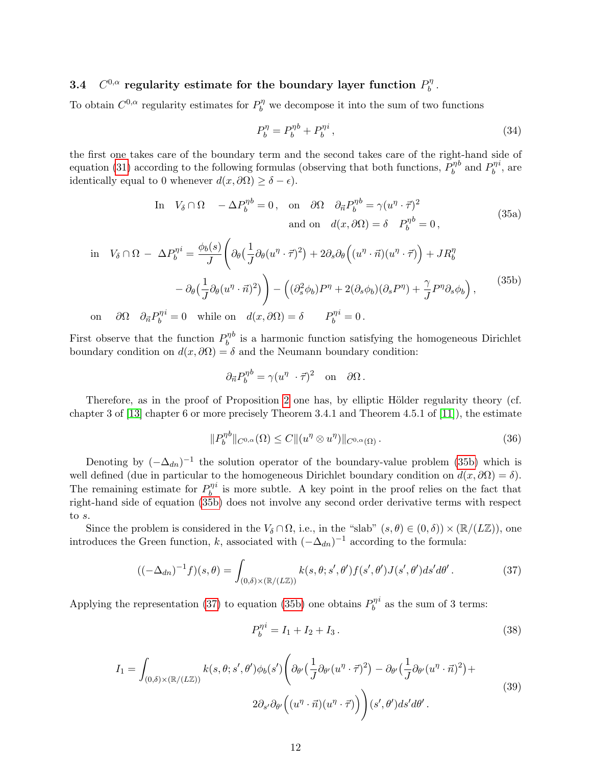#### $3.4$ <sup>0, $\alpha$ </sup> regularity estimate for the boundary layer function  $P_h^{\eta}$  $\frac{\eta}{b}$  .

To obtain  $C^{0,\alpha}$  regularity estimates for  $P_b^{\eta}$  we decompose it into the sum of two functions

$$
P_b^{\eta} = P_b^{\eta b} + P_b^{\eta i} \,, \tag{34}
$$

the first one takes care of the boundary term and the second takes care of the right-hand side of equation [\(31\)](#page-10-1) according to the following formulas (observing that both functions,  $P_h^{\eta}$ b  $b$  and  $P_h^{\eta}$ b  $i$ , are identically equal to 0 whenever  $d(x, \partial \Omega) \geq \delta - \epsilon$ .

In 
$$
V_{\delta} \cap \Omega
$$
 -  $\Delta P_b^{\eta b} = 0$ , on  $\partial \Omega$   $\partial_{\vec{n}} P_b^{\eta b} = \gamma (u^{\eta} \cdot \vec{\tau})^2$   
and on  $d(x, \partial \Omega) = \delta$   $P_b^{\eta b} = 0$ , (35a)

<span id="page-11-0"></span>
$$
\begin{aligned}\n\text{in} \quad V_{\delta} \cap \Omega - \Delta P_{b}^{\eta i} &= \frac{\phi_{b}(s)}{J} \left( \partial_{\theta} \left( \frac{1}{J} \partial_{\theta} (u^{\eta} \cdot \vec{\tau})^{2} \right) + 2 \partial_{s} \partial_{\theta} \left( (u^{\eta} \cdot \vec{n}) (u^{\eta} \cdot \vec{\tau}) \right) + J R_{b}^{\eta} \right. \\
&\quad - \partial_{\theta} \left( \frac{1}{J} \partial_{\theta} (u^{\eta} \cdot \vec{n})^{2} \right) \right) - \left( (\partial_{s}^{2} \phi_{b}) P^{\eta} + 2 (\partial_{s} \phi_{b}) (\partial_{s} P^{\eta}) + \frac{\gamma}{J} P^{\eta} \partial_{s} \phi_{b} \right), \\
\text{on} \quad \partial \Omega \quad \partial_{\vec{n}} P_{b}^{\eta i} &= 0 \quad \text{while on} \quad d(x, \partial \Omega) = \delta \qquad P_{b}^{\eta i} = 0.\n\end{aligned} \tag{35b}
$$

First observe that the function  $P_h^{\eta}$ b  $b$  is a harmonic function satisfying the homogeneous Dirichlet boundary condition on  $d(x, \partial \Omega) = \delta$  and the Neumann boundary condition:

$$
\partial_{\vec{n}} P_b^{\eta b} = \gamma (u^{\eta} \cdot \vec{\tau})^2 \quad \text{on} \quad \partial \Omega \, .
$$

Therefore, as in the proof of Proposition [2](#page-8-2) one has, by elliptic Hölder regularity theory (cf. chapter 3 of [\[13\]](#page-16-1) chapter 6 or more precisely Theorem 3.4.1 and Theorem 4.5.1 of [\[11\]](#page-16-0)), the estimate

$$
||P_b^{\eta b}||_{C^{0,\alpha}}(\Omega) \le C ||(u^{\eta} \otimes u^{\eta})||_{C^{0,\alpha}(\Omega)}.
$$
\n(36)

Denoting by  $(-\Delta_{dn})^{-1}$  the solution operator of the boundary-value problem [\(35b\)](#page-11-0) which is well defined (due in particular to the homogeneous Dirichlet boundary condition on  $d(x, \partial\Omega) = \delta$ ). The remaining estimate for  $P_h^{\eta}$ b  $i$  is more subtle. A key point in the proof relies on the fact that right-hand side of equation [\(35b\)](#page-11-0) does not involve any second order derivative terms with respect to s.

Since the problem is considered in the  $V_\delta \cap \Omega$ , i.e., in the "slab"  $(s, \theta) \in (0, \delta) \times (\mathbb{R}/(L\mathbb{Z}))$ , one introduces the Green function, k, associated with  $(-\Delta_{dn})^{-1}$  according to the formula:

<span id="page-11-1"></span>
$$
((-\Delta_{dn})^{-1}f)(s,\theta) = \int_{(0,\delta)\times(\mathbb{R}/(L\mathbb{Z}))} k(s,\theta;s',\theta')f(s',\theta')J(s',\theta')ds'd\theta'.
$$
 (37)

Applying the representation [\(37\)](#page-11-1) to equation [\(35b\)](#page-11-0) one obtains  $P_h^{\eta}$ b  $\real^i$  as the sum of 3 terms:

<span id="page-11-3"></span>
$$
P_b^{\eta i} = I_1 + I_2 + I_3. \tag{38}
$$

<span id="page-11-2"></span>
$$
I_{1} = \int_{(0,\delta)\times(\mathbb{R}/(L\mathbb{Z}))} k(s,\theta;s',\theta')\phi_{b}(s') \left(\partial_{\theta'}\left(\frac{1}{J}\partial_{\theta'}(u^{\eta}\cdot\vec{\tau})^{2}\right) - \partial_{\theta'}\left(\frac{1}{J}\partial_{\theta'}(u^{\eta}\cdot\vec{n})^{2}\right) + 2\partial_{s'}\partial_{\theta'}\left((u^{\eta}\cdot\vec{n})(u^{\eta}\cdot\vec{\tau})\right)\right)(s',\theta')ds'd\theta'.
$$
\n(39)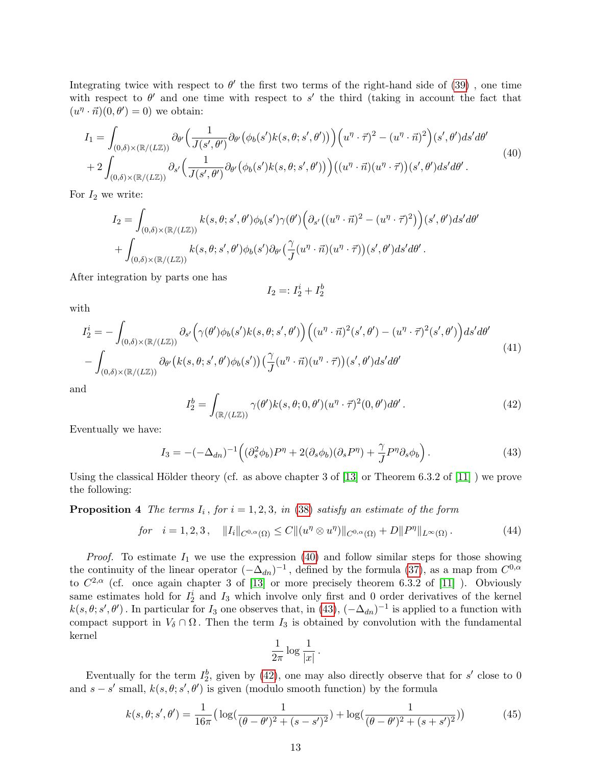Integrating twice with respect to  $\theta'$  the first two terms of the right-hand side of [\(39\)](#page-11-2), one time with respect to  $\theta'$  and one time with respect to s' the third (taking in account the fact that  $(u^{\eta} \cdot \vec{n})(0, \theta') = 0$  we obtain:

<span id="page-12-0"></span>
$$
I_{1} = \int_{(0,\delta)\times(\mathbb{R}/(L\mathbb{Z}))} \partial_{\theta'} \left( \frac{1}{J(s',\theta')} \partial_{\theta'} \left( \phi_{b}(s')k(s,\theta;s',\theta') \right) \right) \left( u^{\eta} \cdot \vec{\tau} \right)^{2} - (u^{\eta} \cdot \vec{n})^{2} \right) (s',\theta') ds' d\theta'
$$
  
+2\int\_{(0,\delta)\times(\mathbb{R}/(L\mathbb{Z}))} \partial\_{s'} \left( \frac{1}{J(s',\theta')} \partial\_{\theta'} \left( \phi\_{b}(s')k(s,\theta;s',\theta') \right) \right) \left( (u^{\eta} \cdot \vec{n}) (u^{\eta} \cdot \vec{\tau}) \right) (s',\theta') ds' d\theta' . \tag{40}

For  $I_2$  we write:

$$
I_2 = \int_{(0,\delta)\times(\mathbb{R}/(L\mathbb{Z}))} k(s,\theta;s',\theta')\phi_b(s')\gamma(\theta')\Big(\partial_{s'}((u^{\eta}\cdot\vec{n})^2 - (u^{\eta}\cdot\vec{\tau})^2)\Big)(s',\theta')ds'd\theta' + \int_{(0,\delta)\times(\mathbb{R}/(L\mathbb{Z}))} k(s,\theta;s',\theta')\phi_b(s')\partial_{\theta'}(\frac{\gamma}{J}(u^{\eta}\cdot\vec{n})(u^{\eta}\cdot\vec{\tau}))(s',\theta')ds'd\theta'.
$$

After integration by parts one has

$$
I_2 =: I_2^i + I_2^b
$$

with

$$
I_2^i = -\int_{(0,\delta)\times(\mathbb{R}/(L\mathbb{Z}))} \partial_{s'}\Big(\gamma(\theta')\phi_b(s')k(s,\theta;s',\theta')\Big) \Big((u^{\eta}\cdot\vec{n})^2(s',\theta') - (u^{\eta}\cdot\vec{\tau})^2(s',\theta')\Big) ds'd\theta' - \int_{(0,\delta)\times(\mathbb{R}/(L\mathbb{Z}))} \partial_{\theta'}\big(k(s,\theta;s',\theta')\phi_b(s')\big) \Big(\frac{\gamma}{J}(u^{\eta}\cdot\vec{n})(u^{\eta}\cdot\vec{\tau})\Big)(s',\theta')ds'd\theta' \tag{41}
$$

and

<span id="page-12-2"></span>
$$
I_2^b = \int_{(\mathbb{R}/(L\mathbb{Z}))} \gamma(\theta') k(s, \theta; 0, \theta') (u^{\eta} \cdot \vec{\tau})^2 (0, \theta') d\theta' . \tag{42}
$$

Eventually we have:

<span id="page-12-1"></span>
$$
I_3 = -(-\Delta_{dn})^{-1} \left( (\partial_s^2 \phi_b) P^{\eta} + 2(\partial_s \phi_b) (\partial_s P^{\eta}) + \frac{\gamma}{J} P^{\eta} \partial_s \phi_b \right). \tag{43}
$$

Using the classical Hölder theory (cf. as above chapter 3 of  $[13]$  or Theorem 6.3.2 of  $[11]$ ) we prove the following:

**Proposition 4** The terms  $I_i$ , for  $i = 1, 2, 3$ , in [\(38\)](#page-11-3) satisfy an estimate of the form

<span id="page-12-3"></span>
$$
for \quad i = 1, 2, 3 \,, \quad ||I_i||_{C^{0,\alpha}(\Omega)} \le C ||(u^{\eta} \otimes u^{\eta})||_{C^{0,\alpha}(\Omega)} + D||P^{\eta}||_{L^{\infty}(\Omega)} \,. \tag{44}
$$

*Proof.* To estimate  $I_1$  we use the expression [\(40\)](#page-12-0) and follow similar steps for those showing the continuity of the linear operator  $(-\Delta_{dn})^{-1}$ , defined by the formula [\(37\)](#page-11-1), as a map from  $C^{0,\alpha}$ to  $C^{2,\alpha}$  (cf. once again chapter 3 of [\[13\]](#page-16-1) or more precisely theorem 6.3.2 of [\[11\]](#page-16-0) ). Obviously same estimates hold for  $I_2^i$  and  $I_3$  which involve only first and 0 order derivatives of the kernel  $k(s, \theta; s', \theta')$ . In particular for  $I_3$  one observes that, in  $(43)$ ,  $(-\Delta_{dn})^{-1}$  is applied to a function with compact support in  $V_\delta \cap \Omega$ . Then the term  $I_3$  is obtained by convolution with the fundamental kernel

$$
\frac{1}{2\pi}\log\frac{1}{|x|}.
$$

Eventually for the term  $I_2^b$ , given by [\(42\)](#page-12-2), one may also directly observe that for s' close to 0 and  $s - s'$  small,  $k(s, \theta; s', \theta')$  is given (modulo smooth function) by the formula

$$
k(s, \theta; s', \theta') = \frac{1}{16\pi} \left( \log\left(\frac{1}{(\theta - \theta')^2 + (s - s')^2}\right) + \log\left(\frac{1}{(\theta - \theta')^2 + (s + s')^2}\right) \right) \tag{45}
$$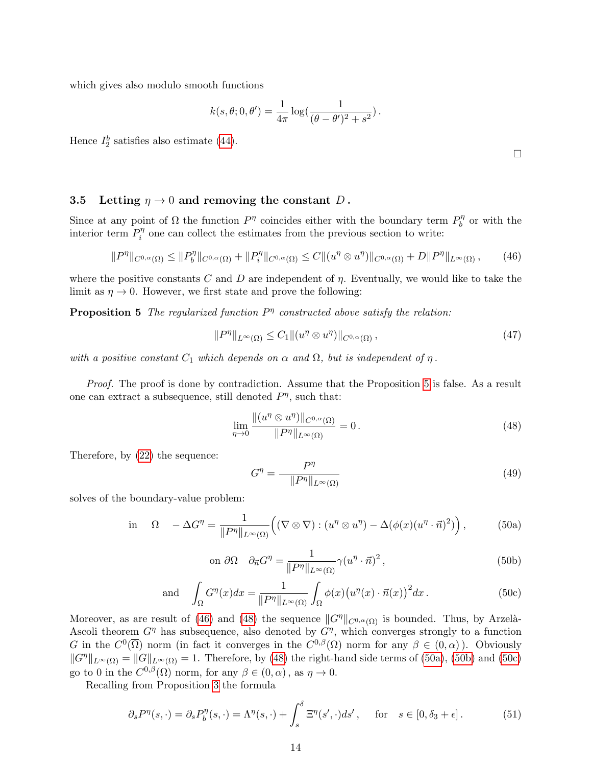which gives also modulo smooth functions

$$
k(s, \theta; 0, \theta') = \frac{1}{4\pi} \log(\frac{1}{(\theta - \theta')^2 + s^2}).
$$

Hence  $I_2^b$  satisfies also estimate [\(44\)](#page-12-3).

#### 3.5 Letting  $\eta \to 0$  and removing the constant D.

Since at any point of  $\Omega$  the function  $P^{\eta}$  coincides either with the boundary term  $P_h^{\eta}$  $b^{\eta}$  or with the interior term  $P_i^{\eta}$  $i$ <sup>n</sup> one can collect the estimates from the previous section to write:

<span id="page-13-1"></span>
$$
||P^{\eta}||_{C^{0,\alpha}(\Omega)} \leq ||P^{\eta}_b||_{C^{0,\alpha}(\Omega)} + ||P^{\eta}_i||_{C^{0,\alpha}(\Omega)} \leq C||(u^{\eta} \otimes u^{\eta})||_{C^{0,\alpha}(\Omega)} + D||P^{\eta}||_{L^{\infty}(\Omega)}, \qquad (46)
$$

where the positive constants C and D are independent of  $\eta$ . Eventually, we would like to take the limit as  $\eta \to 0$ . However, we first state and prove the following:

**Proposition 5** The regularized function  $P<sup>\eta</sup>$  constructed above satisfy the relation:

<span id="page-13-6"></span><span id="page-13-0"></span>
$$
||P^{\eta}||_{L^{\infty}(\Omega)} \leq C_1 ||(u^{\eta} \otimes u^{\eta})||_{C^{0,\alpha}(\Omega)}, \qquad (47)
$$

with a positive constant  $C_1$  which depends on  $\alpha$  and  $\Omega$ , but is independent of  $\eta$ .

Proof. The proof is done by contradiction. Assume that the Proposition [5](#page-13-0) is false. As a result one can extract a subsequence, still denoted  $P^{\eta}$ , such that:

<span id="page-13-2"></span>
$$
\lim_{\eta \to 0} \frac{\|(u^{\eta} \otimes u^{\eta})\|_{C^{0,\alpha}(\Omega)}}{\|P^{\eta}\|_{L^{\infty}(\Omega)}} = 0.
$$
\n(48)

Therefore, by [\(22\)](#page-8-0) the sequence:

$$
G^{\eta} = \frac{P^{\eta}}{\|P^{\eta}\|_{L^{\infty}(\Omega)}}\tag{49}
$$

solves of the boundary-value problem:

<span id="page-13-3"></span>in 
$$
\Omega
$$
 -  $\Delta G^{\eta} = \frac{1}{\|P^{\eta}\|_{L^{\infty}(\Omega)}} \Big( (\nabla \otimes \nabla) : (u^{\eta} \otimes u^{\eta}) - \Delta (\phi(x)(u^{\eta} \cdot \vec{n})^2) \Big),$  (50a)

<span id="page-13-4"></span>on 
$$
\partial \Omega
$$
  $\partial_{\vec{n}} G^{\eta} = \frac{1}{\|P^{\eta}\|_{L^{\infty}(\Omega)}} \gamma (u^{\eta} \cdot \vec{n})^2$ , (50b)

<span id="page-13-5"></span>and 
$$
\int_{\Omega} G^{\eta}(x) dx = \frac{1}{\|P^{\eta}\|_{L^{\infty}(\Omega)}} \int_{\Omega} \phi(x) (u^{\eta}(x) \cdot \vec{n}(x))^{2} dx.
$$
 (50c)

Moreover, as are result of [\(46\)](#page-13-1) and [\(48\)](#page-13-2) the sequence  $||G^{\eta}||_{C^{0,\alpha}(\Omega)}$  is bounded. Thus, by Arzelà-Ascoli theorem  $G^{\eta}$  has subsequence, also denoted by  $G^{\eta}$ , which converges strongly to a function G in the  $C^0(\overline{\Omega})$  norm (in fact it converges in the  $C^{0,\beta}(\Omega)$  norm for any  $\beta \in (0,\alpha)$ ). Obviously  $||G^{\eta}||_{L^{\infty}(\Omega)} = ||G||_{L^{\infty}(\Omega)} = 1.$  Therefore, by [\(48\)](#page-13-2) the right-hand side terms of [\(50a\)](#page-13-3), [\(50b\)](#page-13-4) and [\(50c\)](#page-13-5) go to 0 in the  $C^{0,\beta}(\Omega)$  norm, for any  $\beta \in (0,\alpha)$ , as  $\eta \to 0$ .

Recalling from Proposition [3](#page-10-4) the formula

<span id="page-13-7"></span>
$$
\partial_s P^{\eta}(s, \cdot) = \partial_s P_b^{\eta}(s, \cdot) = \Lambda^{\eta}(s, \cdot) + \int_s^{\delta} \Xi^{\eta}(s', \cdot) ds', \quad \text{for} \quad s \in [0, \delta_3 + \epsilon]. \tag{51}
$$

 $\Box$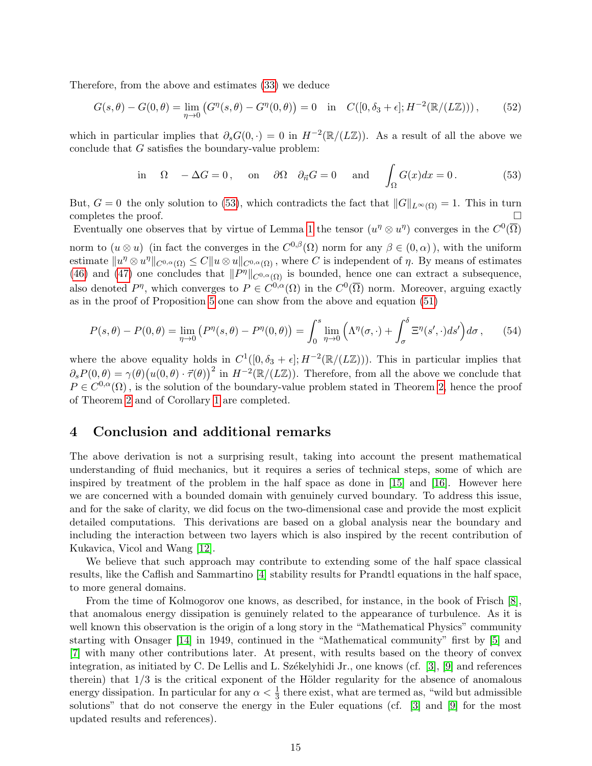Therefore, from the above and estimates [\(33\)](#page-10-3) we deduce

$$
G(s,\theta) - G(0,\theta) = \lim_{\eta \to 0} (G^{\eta}(s,\theta) - G^{\eta}(0,\theta)) = 0 \quad \text{in} \quad C([0,\delta_3 + \epsilon];H^{-2}(\mathbb{R}/(L\mathbb{Z}))),\tag{52}
$$

which in particular implies that  $\partial_s G(0, \cdot) = 0$  in  $H^{-2}(\mathbb{R}/(L\mathbb{Z}))$ . As a result of all the above we conclude that  $G$  satisfies the boundary-value problem:

<span id="page-14-0"></span>in 
$$
\Omega
$$
 -  $\Delta G = 0$ , on  $\partial \Omega$   $\partial_{\vec{n}} G = 0$  and  $\int_{\Omega} G(x) dx = 0$ . (53)

But,  $G = 0$  the only solution to [\(53\)](#page-14-0), which contradicts the fact that  $||G||_{L^{\infty}(\Omega)} = 1$ . This in turn completes the proof.

Eventually one observes that by virtue of Lemma [1](#page-6-2) the tensor  $(u^{\eta} \otimes u^{\eta})$  converges in the  $C^0(\overline{\Omega})$ norm to  $(u \otimes u)$  (in fact the converges in the  $C^{0,\beta}(\Omega)$  norm for any  $\beta \in (0,\alpha)$ ), with the uniform estimate  $||u^{\eta} \otimes u^{\eta}||_{C^{0,\alpha}(\Omega)} \leq C||u \otimes u||_{C^{0,\alpha}(\Omega)}$ , where C is independent of  $\eta$ . By means of estimates [\(46\)](#page-13-1) and [\(47\)](#page-13-6) one concludes that  $||P^{\eta}||_{C^{0,\alpha}(\Omega)}$  is bounded, hence one can extract a subsequence, also denoted  $P^{\eta}$ , which converges to  $P \in C^{0,\alpha}(\Omega)$  in the  $C^0(\overline{\Omega})$  norm. Moreover, arguing exactly as in the proof of Proposition [5](#page-13-0) one can show from the above and equation [\(51\)](#page-13-7)

$$
P(s,\theta) - P(0,\theta) = \lim_{\eta \to 0} \left( P^{\eta}(s,\theta) - P^{\eta}(0,\theta) \right) = \int_0^s \lim_{\eta \to 0} \left( \Lambda^{\eta}(\sigma,\cdot) + \int_\sigma^\delta \Xi^{\eta}(s',\cdot) ds' \right) d\sigma, \qquad (54)
$$

where the above equality holds in  $C^1([0, \delta_3 + \epsilon]; H^{-2}(\mathbb{R}/(L\mathbb{Z})))$ . This in particular implies that  $\partial_s P(0,\theta) = \gamma(\theta) (u(0,\theta) \cdot \vec{\tau}(\theta))^2$  in  $H^{-2}(\mathbb{R}/(L\mathbb{Z}))$ . Therefore, from all the above we conclude that  $P \in C^{0,\alpha}(\Omega)$ , is the solution of the boundary-value problem stated in Theorem [2,](#page-4-0) hence the proof of Theorem [2](#page-4-0) and of Corollary [1](#page-5-0) are completed.

#### 4 Conclusion and additional remarks

The above derivation is not a surprising result, taking into account the present mathematical understanding of fluid mechanics, but it requires a series of technical steps, some of which are inspired by treatment of the problem in the half space as done in [\[15\]](#page-16-2) and [\[16\]](#page-16-3). However here we are concerned with a bounded domain with genuinely curved boundary. To address this issue, and for the sake of clarity, we did focus on the two-dimensional case and provide the most explicit detailed computations. This derivations are based on a global analysis near the boundary and including the interaction between two layers which is also inspired by the recent contribution of Kukavica, Vicol and Wang [\[12\]](#page-16-4).

We believe that such approach may contribute to extending some of the half space classical results, like the Caflish and Sammartino [\[4\]](#page-15-1) stability results for Prandtl equations in the half space, to more general domains.

From the time of Kolmogorov one knows, as described, for instance, in the book of Frisch [\[8\]](#page-15-2), that anomalous energy dissipation is genuinely related to the appearance of turbulence. As it is well known this observation is the origin of a long story in the "Mathematical Physics" community starting with Onsager [\[14\]](#page-16-5) in 1949, continued in the "Mathematical community" first by [\[5\]](#page-15-3) and [\[7\]](#page-15-4) with many other contributions later. At present, with results based on the theory of convex integration, as initiated by C. De Lellis and L. Székelyhidi Jr., one knows (cf. [\[3\]](#page-15-5), [\[9\]](#page-15-6) and references therein) that  $1/3$  is the critical exponent of the Hölder regularity for the absence of anomalous energy dissipation. In particular for any  $\alpha < \frac{1}{3}$  there exist, what are termed as, "wild but admissible solutions" that do not conserve the energy in the Euler equations (cf. [\[3\]](#page-15-5) and [\[9\]](#page-15-6) for the most updated results and references).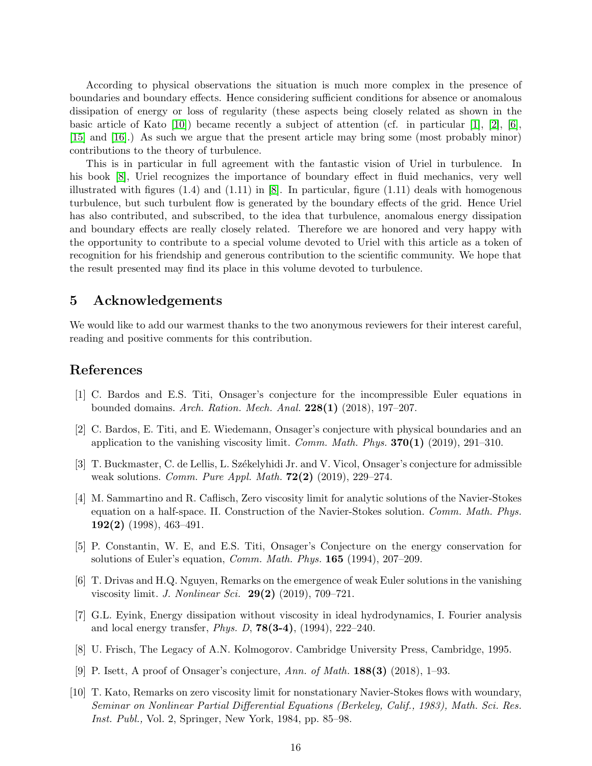According to physical observations the situation is much more complex in the presence of boundaries and boundary effects. Hence considering sufficient conditions for absence or anomalous dissipation of energy or loss of regularity (these aspects being closely related as shown in the basic article of Kato  $[10]$ ) became recently a subject of attention (cf. in particular  $[1]$ ,  $[2]$ ,  $[6]$ , [\[15\]](#page-16-2) and [\[16\]](#page-16-3).) As such we argue that the present article may bring some (most probably minor) contributions to the theory of turbulence.

This is in particular in full agreement with the fantastic vision of Uriel in turbulence. In his book [\[8\]](#page-15-2), Uriel recognizes the importance of boundary effect in fluid mechanics, very well illustrated with figures  $(1.4)$  and  $(1.11)$  in [\[8\]](#page-15-2). In particular, figure  $(1.11)$  deals with homogenous turbulence, but such turbulent flow is generated by the boundary effects of the grid. Hence Uriel has also contributed, and subscribed, to the idea that turbulence, anomalous energy dissipation and boundary effects are really closely related. Therefore we are honored and very happy with the opportunity to contribute to a special volume devoted to Uriel with this article as a token of recognition for his friendship and generous contribution to the scientific community. We hope that the result presented may find its place in this volume devoted to turbulence.

# 5 Acknowledgements

We would like to add our warmest thanks to the two anonymous reviewers for their interest careful, reading and positive comments for this contribution.

### References

- <span id="page-15-0"></span>[1] C. Bardos and E.S. Titi, Onsager's conjecture for the incompressible Euler equations in bounded domains. Arch. Ration. Mech. Anal. 228(1) (2018), 197–207.
- <span id="page-15-8"></span>[2] C. Bardos, E. Titi, and E. Wiedemann, Onsager's conjecture with physical boundaries and an application to the vanishing viscosity limit. Comm. Math. Phys.  $370(1)$  (2019), 291–310.
- <span id="page-15-5"></span>[3] T. Buckmaster, C. de Lellis, L. Székelyhidi Jr. and V. Vicol, Onsager's conjecture for admissible weak solutions. Comm. Pure Appl. Math.  $72(2)$  (2019), 229–274.
- <span id="page-15-1"></span>[4] M. Sammartino and R. Caflisch, Zero viscosity limit for analytic solutions of the Navier-Stokes equation on a half-space. II. Construction of the Navier-Stokes solution. Comm. Math. Phys. 192(2) (1998), 463–491.
- <span id="page-15-3"></span>[5] P. Constantin, W. E, and E.S. Titi, Onsager's Conjecture on the energy conservation for solutions of Euler's equation, Comm. Math. Phys. 165 (1994), 207–209.
- <span id="page-15-9"></span>[6] T. Drivas and H.Q. Nguyen, Remarks on the emergence of weak Euler solutions in the vanishing viscosity limit. J. Nonlinear Sci. 29(2) (2019), 709–721.
- <span id="page-15-4"></span>[7] G.L. Eyink, Energy dissipation without viscosity in ideal hydrodynamics, I. Fourier analysis and local energy transfer, *Phys. D*, **78(3-4)**, (1994), 222–240.
- <span id="page-15-2"></span>[8] U. Frisch, The Legacy of A.N. Kolmogorov. Cambridge University Press, Cambridge, 1995.
- <span id="page-15-6"></span>[9] P. Isett, A proof of Onsager's conjecture, Ann. of Math.  $188(3)$  (2018), 1–93.
- <span id="page-15-7"></span>[10] T. Kato, Remarks on zero viscosity limit for nonstationary Navier-Stokes flows with woundary, Seminar on Nonlinear Partial Differential Equations (Berkeley, Calif., 1983), Math. Sci. Res. Inst. Publ., Vol. 2, Springer, New York, 1984, pp. 85–98.